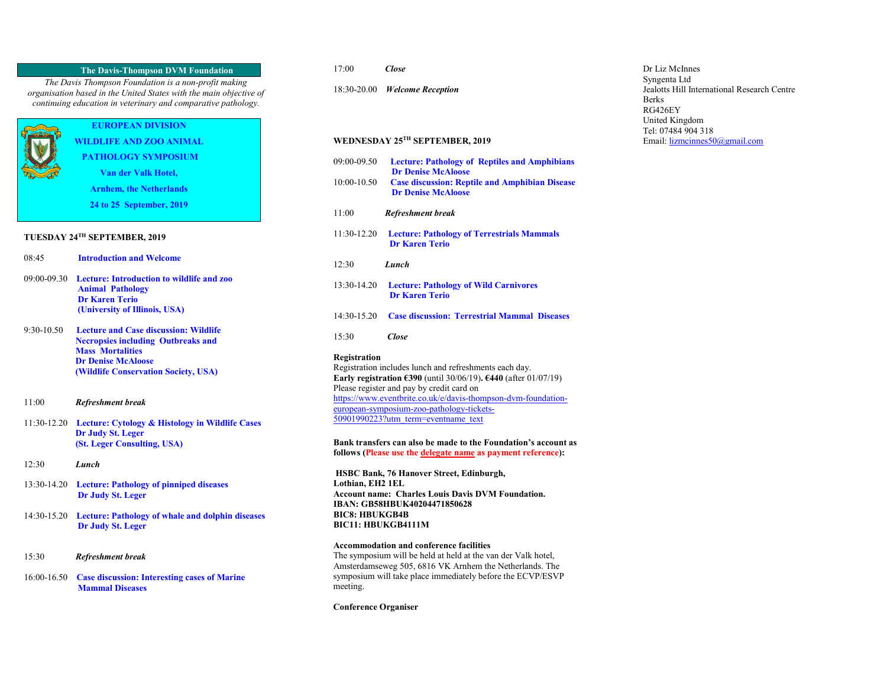## **The Davis-Thompson DVM Foundation**

*The Davis Thompson Foundation is a non-profit making organisation based in the United States with the main objective of continuing education in veterinary and comparative pathology.*

# **EUROPEAN DIVISION WILDLIFE AND ZOO ANIMAL**

**PATHOLOGY SYMPOSIUM**

**Van der Valk Hotel,** 

**Arnhem, the Netherlands**

**24 to 25 September, 2019**

## **TUESDAY 24TH SEPTEMBER, 2019**

| 08:45 | <b>Introduction and Welcome</b>                                                                           |
|-------|-----------------------------------------------------------------------------------------------------------|
|       | 09:00-09.30 Lecture: Introduction to wildlife and zoo<br><b>Animal Pathology</b><br><b>Dr Karen Terio</b> |

9:30-10.50 **Lecture and Case discussion: Wildlife Necropsies including Outbreaks and Mass Mortalities Dr Denise McAloose (Wildlife Conservation Society, USA)** 

 **(University of Illinois, USA)**

- 11:00 *Refreshment break*
- 11:30-12.20 **Lecture: Cytology & Histology in Wildlife Cases Dr Judy St. Leger (St. Leger Consulting, USA)**
- 12:30 *Lunch*
- 13:30-14.20 **Lecture: Pathology of pinniped diseases Dr Judy St. Leger**
- 14:30-15.20 **Lecture: Pathology of whale and dolphin diseases Dr Judy St. Leger**
- 15:30 *Refreshment break*
- 16:00-16.50 **Case discussion: Interesting cases of Marine Mammal Diseases**
- 17:00 *Close*
- 18:30-20.00 *Welcome Reception*

### **WEDNESDAY 25TH SEPTEMBER, 2019**

| 09:00-09.50                                                                                                                                                                                                                                                                                                                                                     | <b>Lecture: Pathology of Reptiles and Amphibians</b><br><b>Dr Denise McAloose</b>  |
|-----------------------------------------------------------------------------------------------------------------------------------------------------------------------------------------------------------------------------------------------------------------------------------------------------------------------------------------------------------------|------------------------------------------------------------------------------------|
| $10:00 - 10.50$                                                                                                                                                                                                                                                                                                                                                 | <b>Case discussion: Reptile and Amphibian Disease</b><br><b>Dr Denise McAloose</b> |
| 11:00                                                                                                                                                                                                                                                                                                                                                           | Refreshment break                                                                  |
| 11:30-12.20                                                                                                                                                                                                                                                                                                                                                     | <b>Lecture: Pathology of Terrestrials Mammals</b><br><b>Dr Karen Terio</b>         |
| 12:30                                                                                                                                                                                                                                                                                                                                                           | Lunch                                                                              |
| 13:30-14.20                                                                                                                                                                                                                                                                                                                                                     | <b>Lecture: Pathology of Wild Carnivores</b><br><b>Dr Karen Terio</b>              |
| $14:30-15.20$                                                                                                                                                                                                                                                                                                                                                   | <b>Case discussion: Terrestrial Mammal Diseases</b>                                |
| 15:30                                                                                                                                                                                                                                                                                                                                                           | Close                                                                              |
| Registration<br>Registration includes lunch and refreshments each day.<br>Early registration $\epsilon$ 390 (until 30/06/19). $\epsilon$ 440 (after 01/07/19)<br>Please register and pay by credit card on<br>https://www.eventbrite.co.uk/e/davis-thompson-dvm-foundation-<br>european-symposium-zoo-pathology-tickets-<br>50901990223?utm term=eventname text |                                                                                    |

**Bank transfers can also be made to the Foundation's account as follows (Please use the delegate name as payment reference):**

**HSBC Bank, 76 Hanover Street, Edinburgh, Lothian, EH2 1EL Account name: Charles Louis Davis DVM Foundation. IBAN: GB58HBUK40204471850628 BIC8: HBUKGB4B BIC11: HBUKGB4111M**

#### **Accommodation and conference facilities**

The symposium will be held at held at the van der Valk hotel, Amsterdamseweg 505, 6816 VK Arnhem the Netherlands. The symposium will take place immediately before the ECVP/ESVP meeting.

#### **Conference Organiser**

Dr Liz McInnes Syngenta Ltd Jealotts Hill International Research Centre Berks RG426EY United Kingdom Tel: 07484 904 318 Email[: lizmcinnes50@gmail.com](mailto:lizmcinnes50@gmail.com)